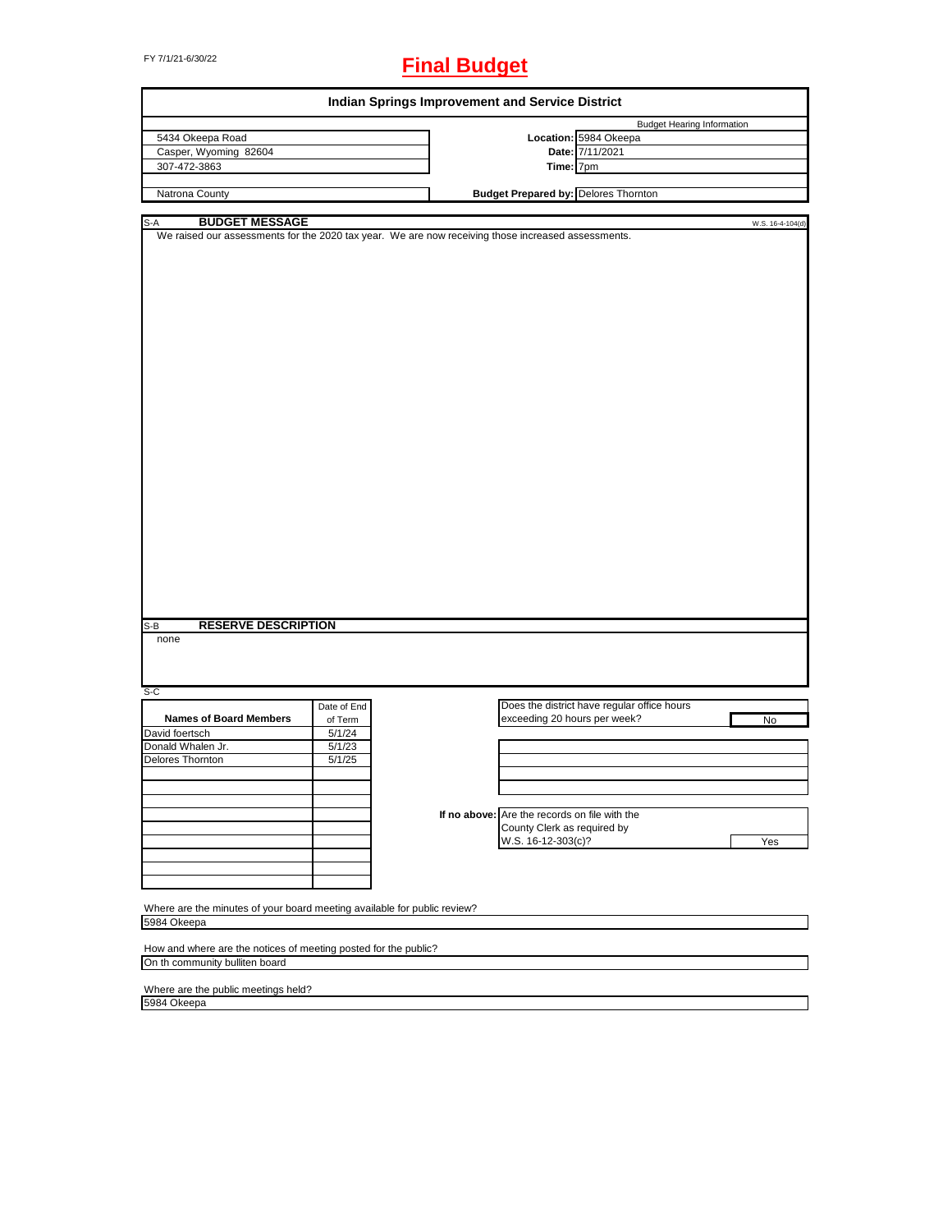# FY 7/1/21-6/30/22 **Final Budget**

| <b>Indian Springs Improvement and Service District</b>                                             |                                             |
|----------------------------------------------------------------------------------------------------|---------------------------------------------|
|                                                                                                    | <b>Budget Hearing Information</b>           |
|                                                                                                    | Location: 5984 Okeepa                       |
|                                                                                                    | Date: 7/11/2021                             |
| Time: 7pm                                                                                          |                                             |
|                                                                                                    |                                             |
| <b>Budget Prepared by: Delores Thornton</b>                                                        |                                             |
|                                                                                                    | W.S. 16-4-104(d)                            |
| We raised our assessments for the 2020 tax year. We are now receiving those increased assessments. |                                             |
|                                                                                                    |                                             |
|                                                                                                    |                                             |
|                                                                                                    |                                             |
|                                                                                                    | Does the district have regular office hours |
| exceeding 20 hours per week?                                                                       | No                                          |
|                                                                                                    |                                             |
|                                                                                                    |                                             |
|                                                                                                    |                                             |
|                                                                                                    |                                             |
|                                                                                                    |                                             |
|                                                                                                    |                                             |
| If no above: Are the records on file with the                                                      |                                             |
| County Clerk as required by                                                                        |                                             |
| W.S. 16-12-303(c)?                                                                                 | Yes                                         |
|                                                                                                    |                                             |
|                                                                                                    |                                             |
|                                                                                                    |                                             |
|                                                                                                    |                                             |
| Where are the minutes of your board meeting available for public review?                           |                                             |
|                                                                                                    |                                             |
|                                                                                                    |                                             |
| How and where are the notices of meeting posted for the public?                                    |                                             |
|                                                                                                    |                                             |
|                                                                                                    |                                             |

Where are the public meetings held? 5984 Okeepa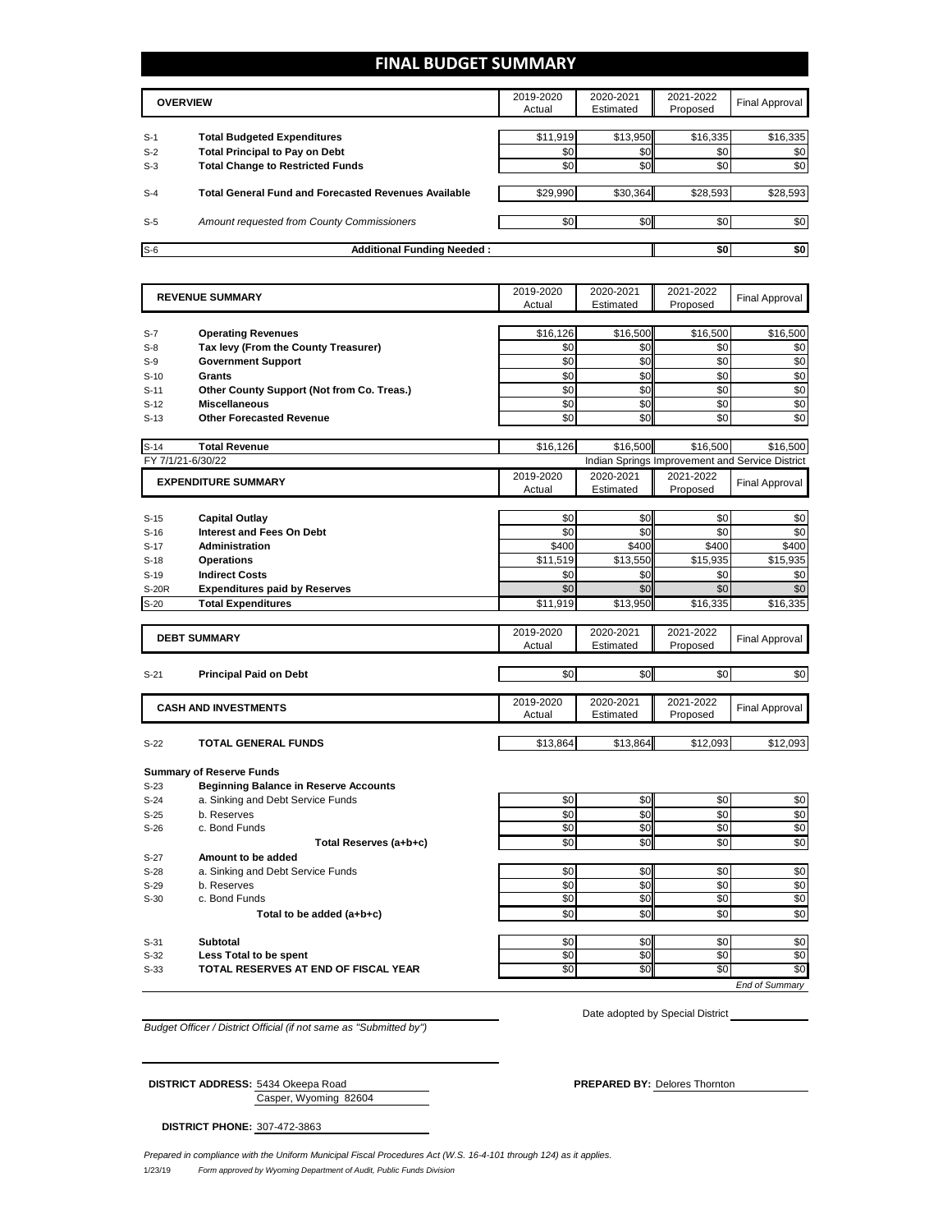## **FINAL BUDGET SUMMARY**

|       | <b>OVERVIEW</b>                                             |          | 2020-2021<br>Estimated | 2021-2022<br>Proposed | Final Approval |
|-------|-------------------------------------------------------------|----------|------------------------|-----------------------|----------------|
|       |                                                             |          |                        |                       |                |
| $S-1$ | <b>Total Budgeted Expenditures</b>                          | \$11,919 | \$13,950               | \$16,335              | \$16,335       |
| $S-2$ | <b>Total Principal to Pay on Debt</b>                       | \$0      | \$0                    | \$0 <sub>1</sub>      | \$0            |
| $S-3$ | <b>Total Change to Restricted Funds</b>                     | \$0      | \$0                    | \$0                   | \$0            |
|       |                                                             |          |                        |                       |                |
| $S-4$ | <b>Total General Fund and Forecasted Revenues Available</b> | \$29,990 | \$30,364               | \$28,593              | \$28,593       |
|       |                                                             |          |                        |                       |                |
| $S-5$ | Amount requested from County Commissioners                  | \$0      | \$0                    | \$0                   | \$0            |
|       |                                                             |          |                        |                       |                |
| $S-6$ | <b>Additional Funding Needed:</b>                           |          |                        | \$0                   | \$0            |

| <b>Operating Revenues</b><br>\$16,126<br>\$16,500<br>\$16,500<br>\$16,500<br>$S-7$<br>\$0<br>\$0<br>\$0<br>Tax levy (From the County Treasurer)<br>\$0<br>$S-8$<br>\$0<br>\$0<br>\$0<br>\$0<br><b>Government Support</b><br>$S-9$<br>\$0<br>\$0<br>\$0<br>\$0<br><b>Grants</b><br>$S-10$<br>\$0<br>\$0<br>\$0<br>\$0<br>Other County Support (Not from Co. Treas.)<br>$S-11$<br>\$0<br>\$0<br>\$0<br>\$0<br><b>Miscellaneous</b><br>$S-12$<br>\$0<br>\$0<br>\$0<br>\$0<br><b>Other Forecasted Revenue</b><br>\$16,500<br><b>Total Revenue</b><br>\$16,126<br>\$16,500<br>\$16,500<br>FY 7/1/21-6/30/22<br>Indian Springs Improvement and Service District<br>2019-2020<br>2020-2021<br>2021-2022<br><b>EXPENDITURE SUMMARY</b><br><b>Final Approval</b><br>Proposed<br>Actual<br>Estimated<br>\$0<br>\$0<br>\$0<br>\$0<br><b>Capital Outlay</b><br>\$0<br><b>Interest and Fees On Debt</b><br>\$0<br>\$0<br>\$0<br>\$400<br>\$400<br>\$400<br>\$400<br><b>Administration</b><br>$S-17$<br>\$13,550<br>\$15,935<br>\$11,519<br>\$15,935<br>$S-18$<br><b>Operations</b><br><b>Indirect Costs</b><br>\$0<br>\$0<br>\$0<br>\$0<br>$S-19$<br>\$0<br>\$0<br>\$0<br>\$0<br><b>Expenditures paid by Reserves</b><br>\$13,950<br><b>Total Expenditures</b><br>\$11,919<br>\$16,335<br>\$16,335<br>2021-2022<br>2019-2020<br>2020-2021<br><b>DEBT SUMMARY</b><br><b>Final Approval</b><br>Estimated<br>Proposed<br>Actual<br>\$0<br>\$0<br>\$0<br><b>Principal Paid on Debt</b><br>2019-2020<br>2020-2021<br>2021-2022<br><b>CASH AND INVESTMENTS</b><br><b>Final Approval</b><br>Estimated<br>Actual<br>Proposed<br>\$13,864<br>\$13,864<br>\$12,093<br>\$12,093<br><b>TOTAL GENERAL FUNDS</b><br>$S-22$<br><b>Summary of Reserve Funds</b><br><b>Beginning Balance in Reserve Accounts</b><br>$S-23$<br>a. Sinking and Debt Service Funds<br>\$0<br>\$0<br>\$0<br>\$0<br>$S-24$<br>\$0<br>\$0<br>\$0<br>b. Reserves<br>\$0<br>$S-25$<br>\$0<br>\$0<br>\$0<br>\$0<br>c. Bond Funds<br>$S-26$<br>\$0<br>\$0<br>\$0<br>\$0<br>Total Reserves (a+b+c)<br>Amount to be added<br>$S-27$<br>\$0<br>\$0<br>a. Sinking and Debt Service Funds<br>\$0<br>\$0<br>$S-28$<br>\$0<br>\$0<br>\$0<br>\$0<br>b. Reserves<br>$S-29$<br>\$0<br>\$0<br>\$0<br>\$0<br>c. Bond Funds<br>$S-30$<br>\$0<br>\$0<br>\$0<br>\$0<br>Total to be added (a+b+c)<br>\$0<br><b>Subtotal</b><br>\$0<br>\$0<br>\$0<br>$S-31$<br>\$0<br>\$0<br>\$0<br>\$0<br>Less Total to be spent<br>$S-32$<br>$\overline{50}$<br>$\overline{50}$<br>\$0<br>TOTAL RESERVES AT END OF FISCAL YEAR<br>\$0<br>$S-33$<br><b>End of Summarv</b> |              | <b>REVENUE SUMMARY</b> | 2019-2020 | 2020-2021 | 2021-2022 | <b>Final Approval</b> |
|-----------------------------------------------------------------------------------------------------------------------------------------------------------------------------------------------------------------------------------------------------------------------------------------------------------------------------------------------------------------------------------------------------------------------------------------------------------------------------------------------------------------------------------------------------------------------------------------------------------------------------------------------------------------------------------------------------------------------------------------------------------------------------------------------------------------------------------------------------------------------------------------------------------------------------------------------------------------------------------------------------------------------------------------------------------------------------------------------------------------------------------------------------------------------------------------------------------------------------------------------------------------------------------------------------------------------------------------------------------------------------------------------------------------------------------------------------------------------------------------------------------------------------------------------------------------------------------------------------------------------------------------------------------------------------------------------------------------------------------------------------------------------------------------------------------------------------------------------------------------------------------------------------------------------------------------------------------------------------------------------------------------------------------------------------------------------------------------------------------------------------------------------------------------------------------------------------------------------------------------------------------------------------------------------------------------------------------------------------------------------------------------------------------------------------------------------------------------------------------------------------------------------------------------------------------------------------------|--------------|------------------------|-----------|-----------|-----------|-----------------------|
|                                                                                                                                                                                                                                                                                                                                                                                                                                                                                                                                                                                                                                                                                                                                                                                                                                                                                                                                                                                                                                                                                                                                                                                                                                                                                                                                                                                                                                                                                                                                                                                                                                                                                                                                                                                                                                                                                                                                                                                                                                                                                                                                                                                                                                                                                                                                                                                                                                                                                                                                                                                   |              |                        | Actual    | Estimated | Proposed  |                       |
|                                                                                                                                                                                                                                                                                                                                                                                                                                                                                                                                                                                                                                                                                                                                                                                                                                                                                                                                                                                                                                                                                                                                                                                                                                                                                                                                                                                                                                                                                                                                                                                                                                                                                                                                                                                                                                                                                                                                                                                                                                                                                                                                                                                                                                                                                                                                                                                                                                                                                                                                                                                   |              |                        |           |           |           |                       |
|                                                                                                                                                                                                                                                                                                                                                                                                                                                                                                                                                                                                                                                                                                                                                                                                                                                                                                                                                                                                                                                                                                                                                                                                                                                                                                                                                                                                                                                                                                                                                                                                                                                                                                                                                                                                                                                                                                                                                                                                                                                                                                                                                                                                                                                                                                                                                                                                                                                                                                                                                                                   |              |                        |           |           |           |                       |
|                                                                                                                                                                                                                                                                                                                                                                                                                                                                                                                                                                                                                                                                                                                                                                                                                                                                                                                                                                                                                                                                                                                                                                                                                                                                                                                                                                                                                                                                                                                                                                                                                                                                                                                                                                                                                                                                                                                                                                                                                                                                                                                                                                                                                                                                                                                                                                                                                                                                                                                                                                                   |              |                        |           |           |           |                       |
|                                                                                                                                                                                                                                                                                                                                                                                                                                                                                                                                                                                                                                                                                                                                                                                                                                                                                                                                                                                                                                                                                                                                                                                                                                                                                                                                                                                                                                                                                                                                                                                                                                                                                                                                                                                                                                                                                                                                                                                                                                                                                                                                                                                                                                                                                                                                                                                                                                                                                                                                                                                   |              |                        |           |           |           |                       |
|                                                                                                                                                                                                                                                                                                                                                                                                                                                                                                                                                                                                                                                                                                                                                                                                                                                                                                                                                                                                                                                                                                                                                                                                                                                                                                                                                                                                                                                                                                                                                                                                                                                                                                                                                                                                                                                                                                                                                                                                                                                                                                                                                                                                                                                                                                                                                                                                                                                                                                                                                                                   |              |                        |           |           |           |                       |
|                                                                                                                                                                                                                                                                                                                                                                                                                                                                                                                                                                                                                                                                                                                                                                                                                                                                                                                                                                                                                                                                                                                                                                                                                                                                                                                                                                                                                                                                                                                                                                                                                                                                                                                                                                                                                                                                                                                                                                                                                                                                                                                                                                                                                                                                                                                                                                                                                                                                                                                                                                                   |              |                        |           |           |           |                       |
|                                                                                                                                                                                                                                                                                                                                                                                                                                                                                                                                                                                                                                                                                                                                                                                                                                                                                                                                                                                                                                                                                                                                                                                                                                                                                                                                                                                                                                                                                                                                                                                                                                                                                                                                                                                                                                                                                                                                                                                                                                                                                                                                                                                                                                                                                                                                                                                                                                                                                                                                                                                   |              |                        |           |           |           |                       |
|                                                                                                                                                                                                                                                                                                                                                                                                                                                                                                                                                                                                                                                                                                                                                                                                                                                                                                                                                                                                                                                                                                                                                                                                                                                                                                                                                                                                                                                                                                                                                                                                                                                                                                                                                                                                                                                                                                                                                                                                                                                                                                                                                                                                                                                                                                                                                                                                                                                                                                                                                                                   | $S-13$       |                        |           |           |           |                       |
|                                                                                                                                                                                                                                                                                                                                                                                                                                                                                                                                                                                                                                                                                                                                                                                                                                                                                                                                                                                                                                                                                                                                                                                                                                                                                                                                                                                                                                                                                                                                                                                                                                                                                                                                                                                                                                                                                                                                                                                                                                                                                                                                                                                                                                                                                                                                                                                                                                                                                                                                                                                   | $S-14$       |                        |           |           |           |                       |
|                                                                                                                                                                                                                                                                                                                                                                                                                                                                                                                                                                                                                                                                                                                                                                                                                                                                                                                                                                                                                                                                                                                                                                                                                                                                                                                                                                                                                                                                                                                                                                                                                                                                                                                                                                                                                                                                                                                                                                                                                                                                                                                                                                                                                                                                                                                                                                                                                                                                                                                                                                                   |              |                        |           |           |           |                       |
|                                                                                                                                                                                                                                                                                                                                                                                                                                                                                                                                                                                                                                                                                                                                                                                                                                                                                                                                                                                                                                                                                                                                                                                                                                                                                                                                                                                                                                                                                                                                                                                                                                                                                                                                                                                                                                                                                                                                                                                                                                                                                                                                                                                                                                                                                                                                                                                                                                                                                                                                                                                   |              |                        |           |           |           |                       |
|                                                                                                                                                                                                                                                                                                                                                                                                                                                                                                                                                                                                                                                                                                                                                                                                                                                                                                                                                                                                                                                                                                                                                                                                                                                                                                                                                                                                                                                                                                                                                                                                                                                                                                                                                                                                                                                                                                                                                                                                                                                                                                                                                                                                                                                                                                                                                                                                                                                                                                                                                                                   |              |                        |           |           |           |                       |
|                                                                                                                                                                                                                                                                                                                                                                                                                                                                                                                                                                                                                                                                                                                                                                                                                                                                                                                                                                                                                                                                                                                                                                                                                                                                                                                                                                                                                                                                                                                                                                                                                                                                                                                                                                                                                                                                                                                                                                                                                                                                                                                                                                                                                                                                                                                                                                                                                                                                                                                                                                                   |              |                        |           |           |           |                       |
|                                                                                                                                                                                                                                                                                                                                                                                                                                                                                                                                                                                                                                                                                                                                                                                                                                                                                                                                                                                                                                                                                                                                                                                                                                                                                                                                                                                                                                                                                                                                                                                                                                                                                                                                                                                                                                                                                                                                                                                                                                                                                                                                                                                                                                                                                                                                                                                                                                                                                                                                                                                   | $S-15$       |                        |           |           |           |                       |
|                                                                                                                                                                                                                                                                                                                                                                                                                                                                                                                                                                                                                                                                                                                                                                                                                                                                                                                                                                                                                                                                                                                                                                                                                                                                                                                                                                                                                                                                                                                                                                                                                                                                                                                                                                                                                                                                                                                                                                                                                                                                                                                                                                                                                                                                                                                                                                                                                                                                                                                                                                                   | $S-16$       |                        |           |           |           |                       |
|                                                                                                                                                                                                                                                                                                                                                                                                                                                                                                                                                                                                                                                                                                                                                                                                                                                                                                                                                                                                                                                                                                                                                                                                                                                                                                                                                                                                                                                                                                                                                                                                                                                                                                                                                                                                                                                                                                                                                                                                                                                                                                                                                                                                                                                                                                                                                                                                                                                                                                                                                                                   |              |                        |           |           |           |                       |
|                                                                                                                                                                                                                                                                                                                                                                                                                                                                                                                                                                                                                                                                                                                                                                                                                                                                                                                                                                                                                                                                                                                                                                                                                                                                                                                                                                                                                                                                                                                                                                                                                                                                                                                                                                                                                                                                                                                                                                                                                                                                                                                                                                                                                                                                                                                                                                                                                                                                                                                                                                                   |              |                        |           |           |           |                       |
|                                                                                                                                                                                                                                                                                                                                                                                                                                                                                                                                                                                                                                                                                                                                                                                                                                                                                                                                                                                                                                                                                                                                                                                                                                                                                                                                                                                                                                                                                                                                                                                                                                                                                                                                                                                                                                                                                                                                                                                                                                                                                                                                                                                                                                                                                                                                                                                                                                                                                                                                                                                   |              |                        |           |           |           |                       |
|                                                                                                                                                                                                                                                                                                                                                                                                                                                                                                                                                                                                                                                                                                                                                                                                                                                                                                                                                                                                                                                                                                                                                                                                                                                                                                                                                                                                                                                                                                                                                                                                                                                                                                                                                                                                                                                                                                                                                                                                                                                                                                                                                                                                                                                                                                                                                                                                                                                                                                                                                                                   | <b>S-20R</b> |                        |           |           |           |                       |
|                                                                                                                                                                                                                                                                                                                                                                                                                                                                                                                                                                                                                                                                                                                                                                                                                                                                                                                                                                                                                                                                                                                                                                                                                                                                                                                                                                                                                                                                                                                                                                                                                                                                                                                                                                                                                                                                                                                                                                                                                                                                                                                                                                                                                                                                                                                                                                                                                                                                                                                                                                                   | $S-20$       |                        |           |           |           |                       |
|                                                                                                                                                                                                                                                                                                                                                                                                                                                                                                                                                                                                                                                                                                                                                                                                                                                                                                                                                                                                                                                                                                                                                                                                                                                                                                                                                                                                                                                                                                                                                                                                                                                                                                                                                                                                                                                                                                                                                                                                                                                                                                                                                                                                                                                                                                                                                                                                                                                                                                                                                                                   |              |                        |           |           |           |                       |
|                                                                                                                                                                                                                                                                                                                                                                                                                                                                                                                                                                                                                                                                                                                                                                                                                                                                                                                                                                                                                                                                                                                                                                                                                                                                                                                                                                                                                                                                                                                                                                                                                                                                                                                                                                                                                                                                                                                                                                                                                                                                                                                                                                                                                                                                                                                                                                                                                                                                                                                                                                                   |              |                        |           |           |           |                       |
|                                                                                                                                                                                                                                                                                                                                                                                                                                                                                                                                                                                                                                                                                                                                                                                                                                                                                                                                                                                                                                                                                                                                                                                                                                                                                                                                                                                                                                                                                                                                                                                                                                                                                                                                                                                                                                                                                                                                                                                                                                                                                                                                                                                                                                                                                                                                                                                                                                                                                                                                                                                   |              |                        |           |           |           |                       |
|                                                                                                                                                                                                                                                                                                                                                                                                                                                                                                                                                                                                                                                                                                                                                                                                                                                                                                                                                                                                                                                                                                                                                                                                                                                                                                                                                                                                                                                                                                                                                                                                                                                                                                                                                                                                                                                                                                                                                                                                                                                                                                                                                                                                                                                                                                                                                                                                                                                                                                                                                                                   |              |                        |           |           |           |                       |
|                                                                                                                                                                                                                                                                                                                                                                                                                                                                                                                                                                                                                                                                                                                                                                                                                                                                                                                                                                                                                                                                                                                                                                                                                                                                                                                                                                                                                                                                                                                                                                                                                                                                                                                                                                                                                                                                                                                                                                                                                                                                                                                                                                                                                                                                                                                                                                                                                                                                                                                                                                                   | $S-21$       |                        |           |           |           | \$0                   |
|                                                                                                                                                                                                                                                                                                                                                                                                                                                                                                                                                                                                                                                                                                                                                                                                                                                                                                                                                                                                                                                                                                                                                                                                                                                                                                                                                                                                                                                                                                                                                                                                                                                                                                                                                                                                                                                                                                                                                                                                                                                                                                                                                                                                                                                                                                                                                                                                                                                                                                                                                                                   |              |                        |           |           |           |                       |
|                                                                                                                                                                                                                                                                                                                                                                                                                                                                                                                                                                                                                                                                                                                                                                                                                                                                                                                                                                                                                                                                                                                                                                                                                                                                                                                                                                                                                                                                                                                                                                                                                                                                                                                                                                                                                                                                                                                                                                                                                                                                                                                                                                                                                                                                                                                                                                                                                                                                                                                                                                                   |              |                        |           |           |           |                       |
|                                                                                                                                                                                                                                                                                                                                                                                                                                                                                                                                                                                                                                                                                                                                                                                                                                                                                                                                                                                                                                                                                                                                                                                                                                                                                                                                                                                                                                                                                                                                                                                                                                                                                                                                                                                                                                                                                                                                                                                                                                                                                                                                                                                                                                                                                                                                                                                                                                                                                                                                                                                   |              |                        |           |           |           |                       |
|                                                                                                                                                                                                                                                                                                                                                                                                                                                                                                                                                                                                                                                                                                                                                                                                                                                                                                                                                                                                                                                                                                                                                                                                                                                                                                                                                                                                                                                                                                                                                                                                                                                                                                                                                                                                                                                                                                                                                                                                                                                                                                                                                                                                                                                                                                                                                                                                                                                                                                                                                                                   |              |                        |           |           |           |                       |
|                                                                                                                                                                                                                                                                                                                                                                                                                                                                                                                                                                                                                                                                                                                                                                                                                                                                                                                                                                                                                                                                                                                                                                                                                                                                                                                                                                                                                                                                                                                                                                                                                                                                                                                                                                                                                                                                                                                                                                                                                                                                                                                                                                                                                                                                                                                                                                                                                                                                                                                                                                                   |              |                        |           |           |           |                       |
|                                                                                                                                                                                                                                                                                                                                                                                                                                                                                                                                                                                                                                                                                                                                                                                                                                                                                                                                                                                                                                                                                                                                                                                                                                                                                                                                                                                                                                                                                                                                                                                                                                                                                                                                                                                                                                                                                                                                                                                                                                                                                                                                                                                                                                                                                                                                                                                                                                                                                                                                                                                   |              |                        |           |           |           |                       |
|                                                                                                                                                                                                                                                                                                                                                                                                                                                                                                                                                                                                                                                                                                                                                                                                                                                                                                                                                                                                                                                                                                                                                                                                                                                                                                                                                                                                                                                                                                                                                                                                                                                                                                                                                                                                                                                                                                                                                                                                                                                                                                                                                                                                                                                                                                                                                                                                                                                                                                                                                                                   |              |                        |           |           |           |                       |
|                                                                                                                                                                                                                                                                                                                                                                                                                                                                                                                                                                                                                                                                                                                                                                                                                                                                                                                                                                                                                                                                                                                                                                                                                                                                                                                                                                                                                                                                                                                                                                                                                                                                                                                                                                                                                                                                                                                                                                                                                                                                                                                                                                                                                                                                                                                                                                                                                                                                                                                                                                                   |              |                        |           |           |           |                       |
|                                                                                                                                                                                                                                                                                                                                                                                                                                                                                                                                                                                                                                                                                                                                                                                                                                                                                                                                                                                                                                                                                                                                                                                                                                                                                                                                                                                                                                                                                                                                                                                                                                                                                                                                                                                                                                                                                                                                                                                                                                                                                                                                                                                                                                                                                                                                                                                                                                                                                                                                                                                   |              |                        |           |           |           |                       |
|                                                                                                                                                                                                                                                                                                                                                                                                                                                                                                                                                                                                                                                                                                                                                                                                                                                                                                                                                                                                                                                                                                                                                                                                                                                                                                                                                                                                                                                                                                                                                                                                                                                                                                                                                                                                                                                                                                                                                                                                                                                                                                                                                                                                                                                                                                                                                                                                                                                                                                                                                                                   |              |                        |           |           |           |                       |
|                                                                                                                                                                                                                                                                                                                                                                                                                                                                                                                                                                                                                                                                                                                                                                                                                                                                                                                                                                                                                                                                                                                                                                                                                                                                                                                                                                                                                                                                                                                                                                                                                                                                                                                                                                                                                                                                                                                                                                                                                                                                                                                                                                                                                                                                                                                                                                                                                                                                                                                                                                                   |              |                        |           |           |           |                       |
|                                                                                                                                                                                                                                                                                                                                                                                                                                                                                                                                                                                                                                                                                                                                                                                                                                                                                                                                                                                                                                                                                                                                                                                                                                                                                                                                                                                                                                                                                                                                                                                                                                                                                                                                                                                                                                                                                                                                                                                                                                                                                                                                                                                                                                                                                                                                                                                                                                                                                                                                                                                   |              |                        |           |           |           |                       |
|                                                                                                                                                                                                                                                                                                                                                                                                                                                                                                                                                                                                                                                                                                                                                                                                                                                                                                                                                                                                                                                                                                                                                                                                                                                                                                                                                                                                                                                                                                                                                                                                                                                                                                                                                                                                                                                                                                                                                                                                                                                                                                                                                                                                                                                                                                                                                                                                                                                                                                                                                                                   |              |                        |           |           |           |                       |
|                                                                                                                                                                                                                                                                                                                                                                                                                                                                                                                                                                                                                                                                                                                                                                                                                                                                                                                                                                                                                                                                                                                                                                                                                                                                                                                                                                                                                                                                                                                                                                                                                                                                                                                                                                                                                                                                                                                                                                                                                                                                                                                                                                                                                                                                                                                                                                                                                                                                                                                                                                                   |              |                        |           |           |           |                       |
|                                                                                                                                                                                                                                                                                                                                                                                                                                                                                                                                                                                                                                                                                                                                                                                                                                                                                                                                                                                                                                                                                                                                                                                                                                                                                                                                                                                                                                                                                                                                                                                                                                                                                                                                                                                                                                                                                                                                                                                                                                                                                                                                                                                                                                                                                                                                                                                                                                                                                                                                                                                   |              |                        |           |           |           |                       |
|                                                                                                                                                                                                                                                                                                                                                                                                                                                                                                                                                                                                                                                                                                                                                                                                                                                                                                                                                                                                                                                                                                                                                                                                                                                                                                                                                                                                                                                                                                                                                                                                                                                                                                                                                                                                                                                                                                                                                                                                                                                                                                                                                                                                                                                                                                                                                                                                                                                                                                                                                                                   |              |                        |           |           |           |                       |
|                                                                                                                                                                                                                                                                                                                                                                                                                                                                                                                                                                                                                                                                                                                                                                                                                                                                                                                                                                                                                                                                                                                                                                                                                                                                                                                                                                                                                                                                                                                                                                                                                                                                                                                                                                                                                                                                                                                                                                                                                                                                                                                                                                                                                                                                                                                                                                                                                                                                                                                                                                                   |              |                        |           |           |           |                       |
|                                                                                                                                                                                                                                                                                                                                                                                                                                                                                                                                                                                                                                                                                                                                                                                                                                                                                                                                                                                                                                                                                                                                                                                                                                                                                                                                                                                                                                                                                                                                                                                                                                                                                                                                                                                                                                                                                                                                                                                                                                                                                                                                                                                                                                                                                                                                                                                                                                                                                                                                                                                   |              |                        |           |           |           |                       |
|                                                                                                                                                                                                                                                                                                                                                                                                                                                                                                                                                                                                                                                                                                                                                                                                                                                                                                                                                                                                                                                                                                                                                                                                                                                                                                                                                                                                                                                                                                                                                                                                                                                                                                                                                                                                                                                                                                                                                                                                                                                                                                                                                                                                                                                                                                                                                                                                                                                                                                                                                                                   |              |                        |           |           |           |                       |
|                                                                                                                                                                                                                                                                                                                                                                                                                                                                                                                                                                                                                                                                                                                                                                                                                                                                                                                                                                                                                                                                                                                                                                                                                                                                                                                                                                                                                                                                                                                                                                                                                                                                                                                                                                                                                                                                                                                                                                                                                                                                                                                                                                                                                                                                                                                                                                                                                                                                                                                                                                                   |              |                        |           |           |           |                       |
|                                                                                                                                                                                                                                                                                                                                                                                                                                                                                                                                                                                                                                                                                                                                                                                                                                                                                                                                                                                                                                                                                                                                                                                                                                                                                                                                                                                                                                                                                                                                                                                                                                                                                                                                                                                                                                                                                                                                                                                                                                                                                                                                                                                                                                                                                                                                                                                                                                                                                                                                                                                   |              |                        |           |           |           |                       |

*Budget Officer / District Official (if not same as "Submitted by")*

Date adopted by Special District

Casper, Wyoming 82604

**DISTRICT PHONE:** 307-472-3863

**DISTRICT ADDRESS:** 5434 Okeepa Road **PREPARED BY:** Delores Thornton

1/23/19 *Form approved by Wyoming Department of Audit, Public Funds Division Prepared in compliance with the Uniform Municipal Fiscal Procedures Act (W.S. 16-4-101 through 124) as it applies.*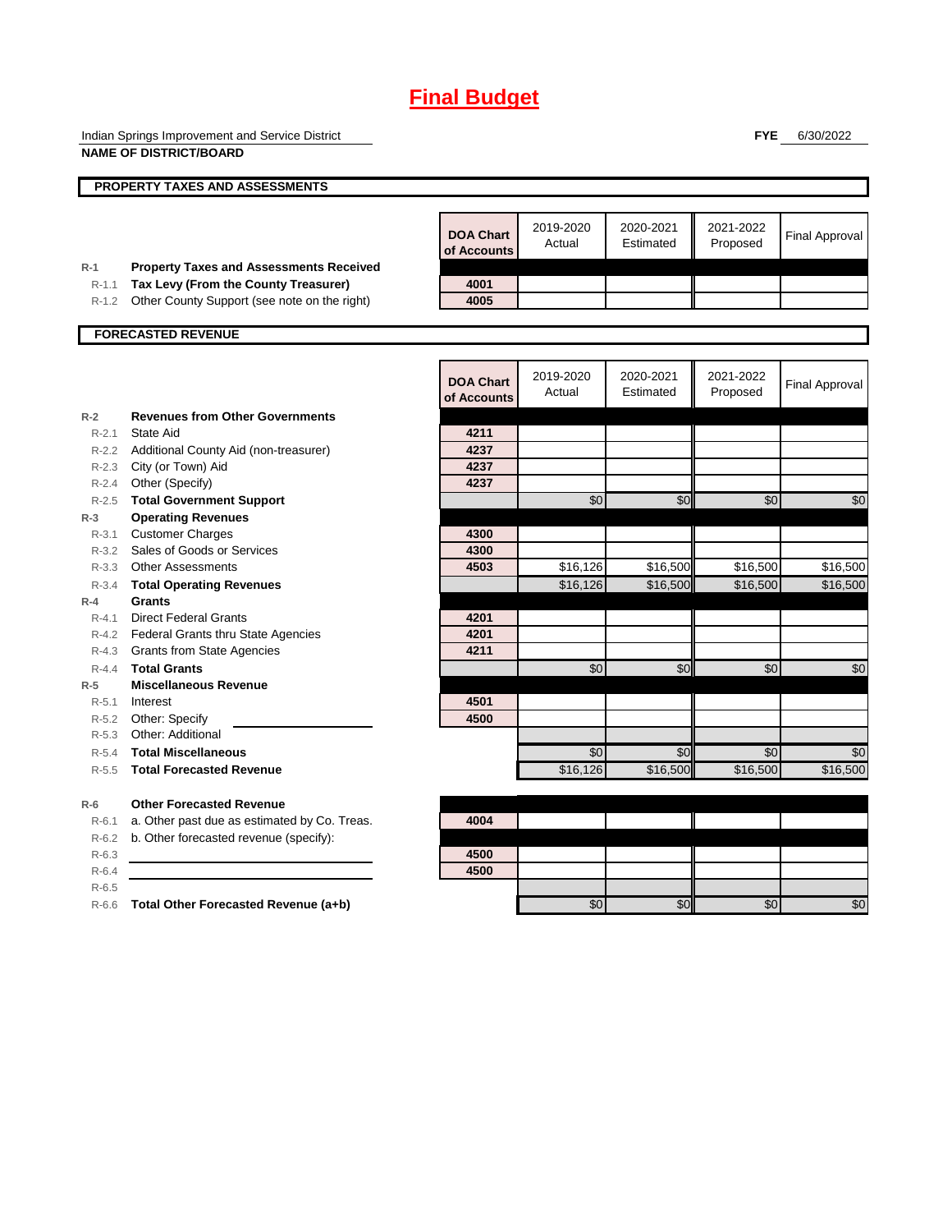Indian Springs Improvement and Service District **NAME OF DISTRICT/BOARD**

**FYE** 6/30/2022

|                    | NAME OF DISTRICT/BOARD                                  |                                 |                     |                        |                       |                       |
|--------------------|---------------------------------------------------------|---------------------------------|---------------------|------------------------|-----------------------|-----------------------|
|                    | <b>PROPERTY TAXES AND ASSESSMENTS</b>                   |                                 |                     |                        |                       |                       |
|                    |                                                         |                                 |                     |                        |                       |                       |
|                    |                                                         | <b>DOA Chart</b><br>of Accounts | 2019-2020<br>Actual | 2020-2021<br>Estimated | 2021-2022<br>Proposed | <b>Final Approval</b> |
| $R-1$              | <b>Property Taxes and Assessments Received</b>          |                                 |                     |                        |                       |                       |
| $R-1.1$            | Tax Levy (From the County Treasurer)                    | 4001                            |                     |                        |                       |                       |
| R-1.2              | Other County Support (see note on the right)            | 4005                            |                     |                        |                       |                       |
|                    | <b>FORECASTED REVENUE</b>                               |                                 |                     |                        |                       |                       |
|                    |                                                         |                                 |                     |                        |                       |                       |
|                    |                                                         | <b>DOA Chart</b><br>of Accounts | 2019-2020<br>Actual | 2020-2021<br>Estimated | 2021-2022<br>Proposed | <b>Final Approval</b> |
| $R-2$              | <b>Revenues from Other Governments</b>                  |                                 |                     |                        |                       |                       |
| $R - 2.1$          | State Aid                                               | 4211                            |                     |                        |                       |                       |
|                    | R-2.2 Additional County Aid (non-treasurer)             | 4237                            |                     |                        |                       |                       |
|                    | R-2.3 City (or Town) Aid                                | 4237                            |                     |                        |                       |                       |
|                    | R-2.4 Other (Specify)                                   | 4237                            |                     |                        |                       |                       |
| $R - 2.5$          | <b>Total Government Support</b>                         |                                 | \$0                 | \$0                    | \$0                   | \$0                   |
| $R-3$              | <b>Operating Revenues</b>                               |                                 |                     |                        |                       |                       |
| $R - 3.1$          | <b>Customer Charges</b>                                 | 4300                            |                     |                        |                       |                       |
|                    | R-3.2 Sales of Goods or Services                        | 4300                            |                     |                        |                       |                       |
|                    | R-3.3 Other Assessments                                 | 4503                            | \$16,126            | \$16,500               | \$16,500              | \$16,500              |
| $R - 3.4$          | <b>Total Operating Revenues</b>                         |                                 | \$16,126            | \$16,500               | \$16,500              | \$16,500              |
| $R-4$              | Grants                                                  |                                 |                     |                        |                       |                       |
| $R - 4.1$          | <b>Direct Federal Grants</b>                            | 4201<br>4201                    |                     |                        |                       |                       |
|                    | R-4.2 Federal Grants thru State Agencies                | 4211                            |                     |                        |                       |                       |
|                    | R-4.3 Grants from State Agencies<br><b>Total Grants</b> |                                 | \$0                 | \$0                    |                       |                       |
| $R - 4.4$<br>$R-5$ | <b>Miscellaneous Revenue</b>                            |                                 |                     |                        | \$0                   | \$0                   |
| $R-5.1$            | Interest                                                | 4501                            |                     |                        |                       |                       |
|                    | R-5.2 Other: Specify                                    | 4500                            |                     |                        |                       |                       |
| $R - 5.3$          | Other: Additional                                       |                                 |                     |                        |                       |                       |
| $R - 5.4$          | <b>Total Miscellaneous</b>                              |                                 | \$0                 | \$0                    | \$0                   | \$0                   |
| $R-5.5$            | <b>Total Forecasted Revenue</b>                         |                                 | \$16,126            | \$16,500               | \$16,500              | \$16,500              |
| $R-6$              | <b>Other Forecasted Revenue</b>                         |                                 |                     |                        |                       |                       |
| $R-6.1$            | a. Other past due as estimated by Co. Treas.            | 4004                            |                     |                        |                       |                       |
| $R-6.2$            | b. Other forecasted revenue (specify):                  |                                 |                     |                        |                       |                       |
| $R-6.3$            |                                                         | 4500                            |                     |                        |                       |                       |
| $R-6.4$            |                                                         | 4500                            |                     |                        |                       |                       |
| $R-6.5$            |                                                         |                                 |                     |                        |                       |                       |
| $R-6.6$            | Total Other Forecasted Revenue (a+b)                    |                                 | \$0                 | \$0                    | \$0                   | $\overline{50}$       |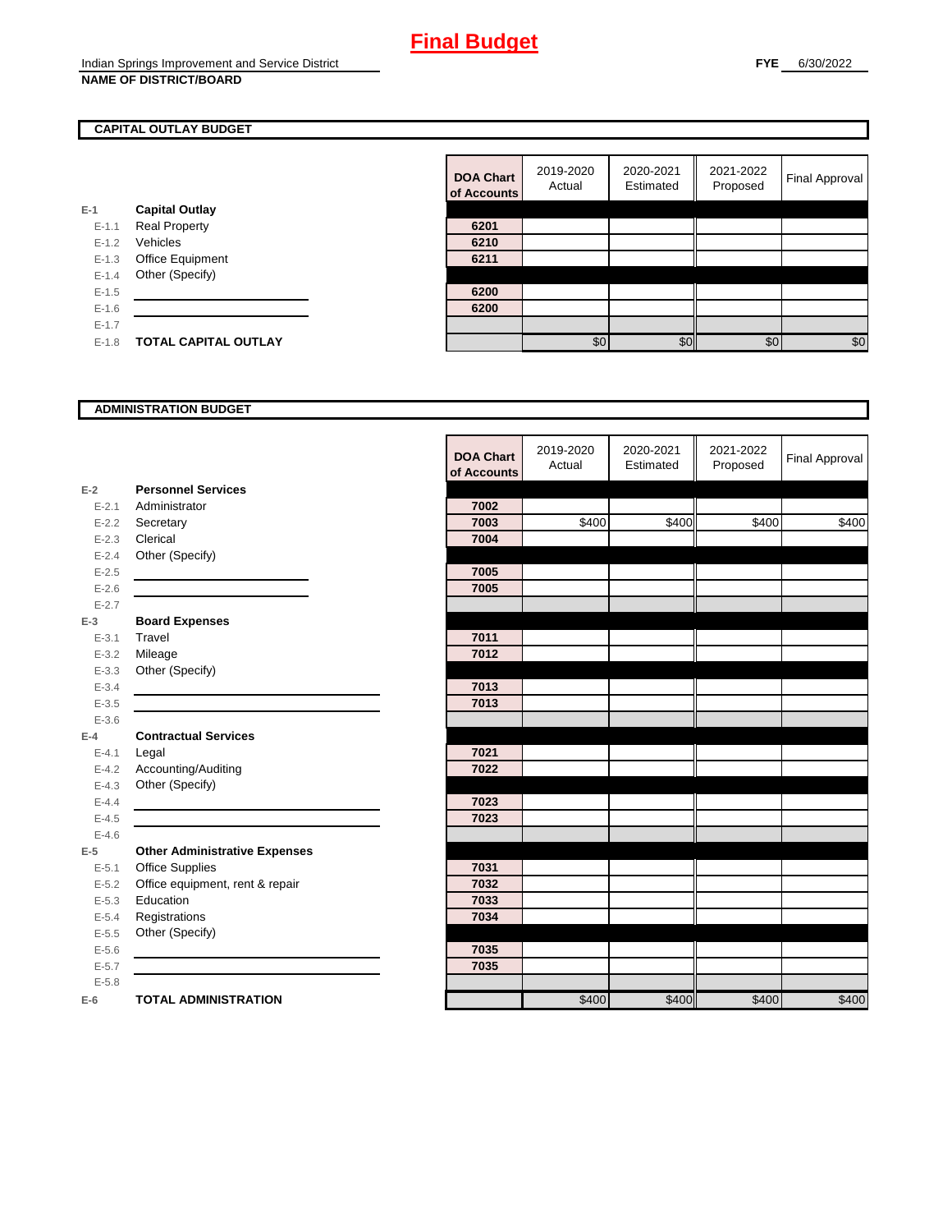## **CAPITAL OUTLAY BUDGET**

|           |                             | ui Auuu |
|-----------|-----------------------------|---------|
| $E-1$     | <b>Capital Outlay</b>       |         |
| $E - 1.1$ | <b>Real Property</b>        | 6201    |
| $E - 1.2$ | Vehicles                    | 6210    |
| $E - 1.3$ | Office Equipment            | 6211    |
| $E - 1.4$ | Other (Specify)             |         |
| $E - 1.5$ |                             | 6200    |
| $E-1.6$   |                             | 6200    |
| $E - 1.7$ |                             |         |
| $E - 1.8$ | <b>TOTAL CAPITAL OUTLAY</b> |         |
|           |                             |         |

| <b>DOA Chart</b><br>of Accounts | 2019-2020<br>Actual | 2020-2021<br>Estimated | 2021-2022<br>Proposed | Final Approval |
|---------------------------------|---------------------|------------------------|-----------------------|----------------|
|                                 |                     |                        |                       |                |
| 6201                            |                     |                        |                       |                |
| 6210                            |                     |                        |                       |                |
| 6211                            |                     |                        |                       |                |
|                                 |                     |                        |                       |                |
| 6200                            |                     |                        |                       |                |
| 6200                            |                     |                        |                       |                |
|                                 |                     |                        |                       |                |
|                                 | \$0                 | \$ር                    | \$0                   | \$0            |

#### **ADMINISTRATION BUDGET**

|           |                                      | <b>DOA Chart</b><br>of Accounts | 2019-2020<br>Actual | 2020-2021<br>Estimated | 2021-2022<br>Proposed | <b>Final Approval</b> |
|-----------|--------------------------------------|---------------------------------|---------------------|------------------------|-----------------------|-----------------------|
| $E-2$     | <b>Personnel Services</b>            |                                 |                     |                        |                       |                       |
| $E - 2.1$ | Administrator                        | 7002                            |                     |                        |                       |                       |
| $E - 2.2$ | Secretary                            | 7003                            | \$400               | \$400                  | \$400                 | \$400                 |
| $E - 2.3$ | Clerical                             | 7004                            |                     |                        |                       |                       |
| $E - 2.4$ | Other (Specify)                      |                                 |                     |                        |                       |                       |
| $E-2.5$   |                                      | 7005                            |                     |                        |                       |                       |
| $E - 2.6$ |                                      | 7005                            |                     |                        |                       |                       |
| $E - 2.7$ |                                      |                                 |                     |                        |                       |                       |
| $E-3$     | <b>Board Expenses</b>                |                                 |                     |                        |                       |                       |
| $E - 3.1$ | Travel                               | 7011                            |                     |                        |                       |                       |
| $E - 3.2$ | Mileage                              | 7012                            |                     |                        |                       |                       |
| $E - 3.3$ | Other (Specify)                      |                                 |                     |                        |                       |                       |
| $E - 3.4$ |                                      | 7013                            |                     |                        |                       |                       |
| $E - 3.5$ |                                      | 7013                            |                     |                        |                       |                       |
| $E - 3.6$ |                                      |                                 |                     |                        |                       |                       |
| $E-4$     | <b>Contractual Services</b>          |                                 |                     |                        |                       |                       |
| $E - 4.1$ | Legal                                | 7021                            |                     |                        |                       |                       |
| $E-4.2$   | Accounting/Auditing                  | 7022                            |                     |                        |                       |                       |
| $E - 4.3$ | Other (Specify)                      |                                 |                     |                        |                       |                       |
| $E - 4.4$ |                                      | 7023                            |                     |                        |                       |                       |
| $E-4.5$   |                                      | 7023                            |                     |                        |                       |                       |
| $E-4.6$   |                                      |                                 |                     |                        |                       |                       |
| $E-5$     | <b>Other Administrative Expenses</b> |                                 |                     |                        |                       |                       |
| $E - 5.1$ | <b>Office Supplies</b>               | 7031                            |                     |                        |                       |                       |
| $E - 5.2$ | Office equipment, rent & repair      | 7032                            |                     |                        |                       |                       |
| $E - 5.3$ | Education                            | 7033                            |                     |                        |                       |                       |
| $E - 5.4$ | Registrations                        | 7034                            |                     |                        |                       |                       |
| $E - 5.5$ | Other (Specify)                      |                                 |                     |                        |                       |                       |
| $E-5.6$   |                                      | 7035                            |                     |                        |                       |                       |
| $E - 5.7$ |                                      | 7035                            |                     |                        |                       |                       |
| $E - 5.8$ |                                      |                                 |                     |                        |                       |                       |
| $E-6$     | <b>TOTAL ADMINISTRATION</b>          |                                 | \$400               | \$400                  | \$400                 | \$400                 |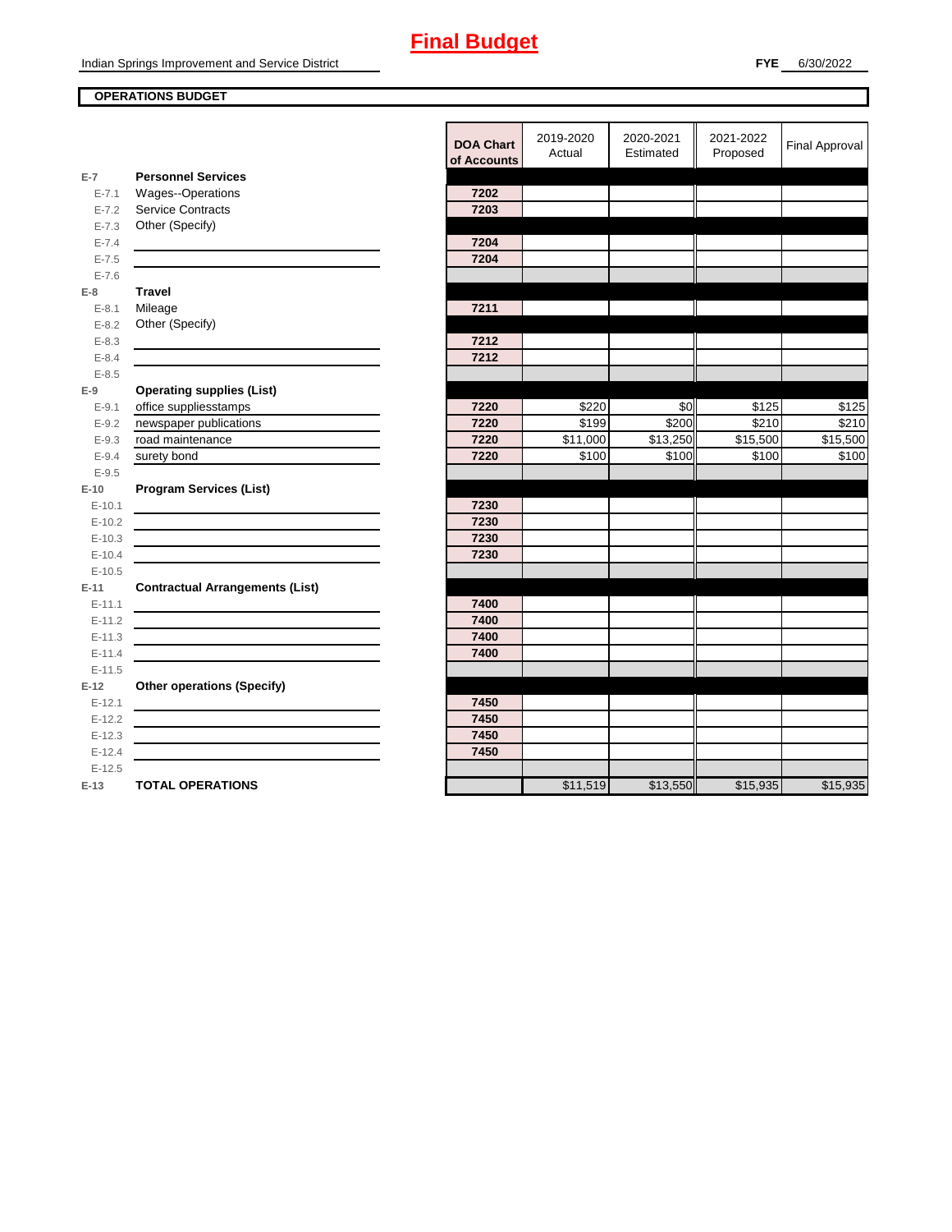#### **OPERATIONS BUDGET**

**E-7**

**E-8 Travel**

**E-9**

**E-10**

**E-11 Contractual Arrangements (List)** 

**E-12 Other operations (Specify)** 

|            |                                        | <b>DOA Chart</b><br>of Accounts | 2019-2020<br>Actual | 2020-2021<br>Estimated | 2021-2022<br>Proposed | <b>Final Approval</b> |
|------------|----------------------------------------|---------------------------------|---------------------|------------------------|-----------------------|-----------------------|
| $E-7$      | <b>Personnel Services</b>              |                                 |                     |                        |                       |                       |
| $E - 7.1$  | Wages--Operations                      | 7202                            |                     |                        |                       |                       |
| $E - 7.2$  | <b>Service Contracts</b>               | 7203                            |                     |                        |                       |                       |
| $E - 7.3$  | Other (Specify)                        |                                 |                     |                        |                       |                       |
| $E - 7.4$  |                                        | 7204                            |                     |                        |                       |                       |
| $E - 7.5$  |                                        | 7204                            |                     |                        |                       |                       |
| $E - 7.6$  |                                        |                                 |                     |                        |                       |                       |
| E-8        | <b>Travel</b>                          |                                 |                     |                        |                       |                       |
| $E - 8.1$  | Mileage                                | 7211                            |                     |                        |                       |                       |
| $E - 8.2$  | Other (Specify)                        |                                 |                     |                        |                       |                       |
| $E - 8.3$  |                                        | 7212                            |                     |                        |                       |                       |
| $E - 8.4$  |                                        | 7212                            |                     |                        |                       |                       |
| $E - 8.5$  |                                        |                                 |                     |                        |                       |                       |
| $E-9$      | <b>Operating supplies (List)</b>       |                                 |                     |                        |                       |                       |
| $E - 9.1$  | office suppliesstamps                  | 7220                            | \$220               | \$0                    | \$125                 | \$125                 |
| $E-9.2$    | newspaper publications                 | 7220                            | \$199               | \$200                  | \$210                 | \$210                 |
| $E - 9.3$  | road maintenance                       | 7220                            | \$11,000            | \$13,250               | \$15,500              | \$15,500              |
| $E-9.4$    | surety bond                            | 7220                            | \$100               | \$100                  | \$100                 | \$100                 |
| $E - 9.5$  |                                        |                                 |                     |                        |                       |                       |
| $E-10$     | <b>Program Services (List)</b>         |                                 |                     |                        |                       |                       |
| $E - 10.1$ |                                        | 7230                            |                     |                        |                       |                       |
| $E-10.2$   |                                        | 7230                            |                     |                        |                       |                       |
| $E-10.3$   |                                        | 7230                            |                     |                        |                       |                       |
| $E-10.4$   |                                        | 7230                            |                     |                        |                       |                       |
| $E-10.5$   |                                        |                                 |                     |                        |                       |                       |
| $E-11$     | <b>Contractual Arrangements (List)</b> |                                 |                     |                        |                       |                       |
| $E-11.1$   |                                        | 7400                            |                     |                        |                       |                       |
| $E-11.2$   |                                        | 7400                            |                     |                        |                       |                       |
| $E-11.3$   |                                        | 7400                            |                     |                        |                       |                       |
| $E-11.4$   |                                        | 7400                            |                     |                        |                       |                       |
| $E-11.5$   |                                        |                                 |                     |                        |                       |                       |
| $E-12$     | <b>Other operations (Specify)</b>      |                                 |                     |                        |                       |                       |
| $E-12.1$   |                                        | 7450                            |                     |                        |                       |                       |
| $E-12.2$   |                                        | 7450                            |                     |                        |                       |                       |
| $E-12.3$   |                                        | 7450                            |                     |                        |                       |                       |
| $E-12.4$   |                                        | 7450                            |                     |                        |                       |                       |
| $E-12.5$   |                                        |                                 |                     |                        |                       |                       |
| E-13       | <b>TOTAL OPERATIONS</b>                |                                 | \$11,519            | \$13,550               | \$15,935              | \$15,935              |
|            |                                        |                                 |                     |                        |                       |                       |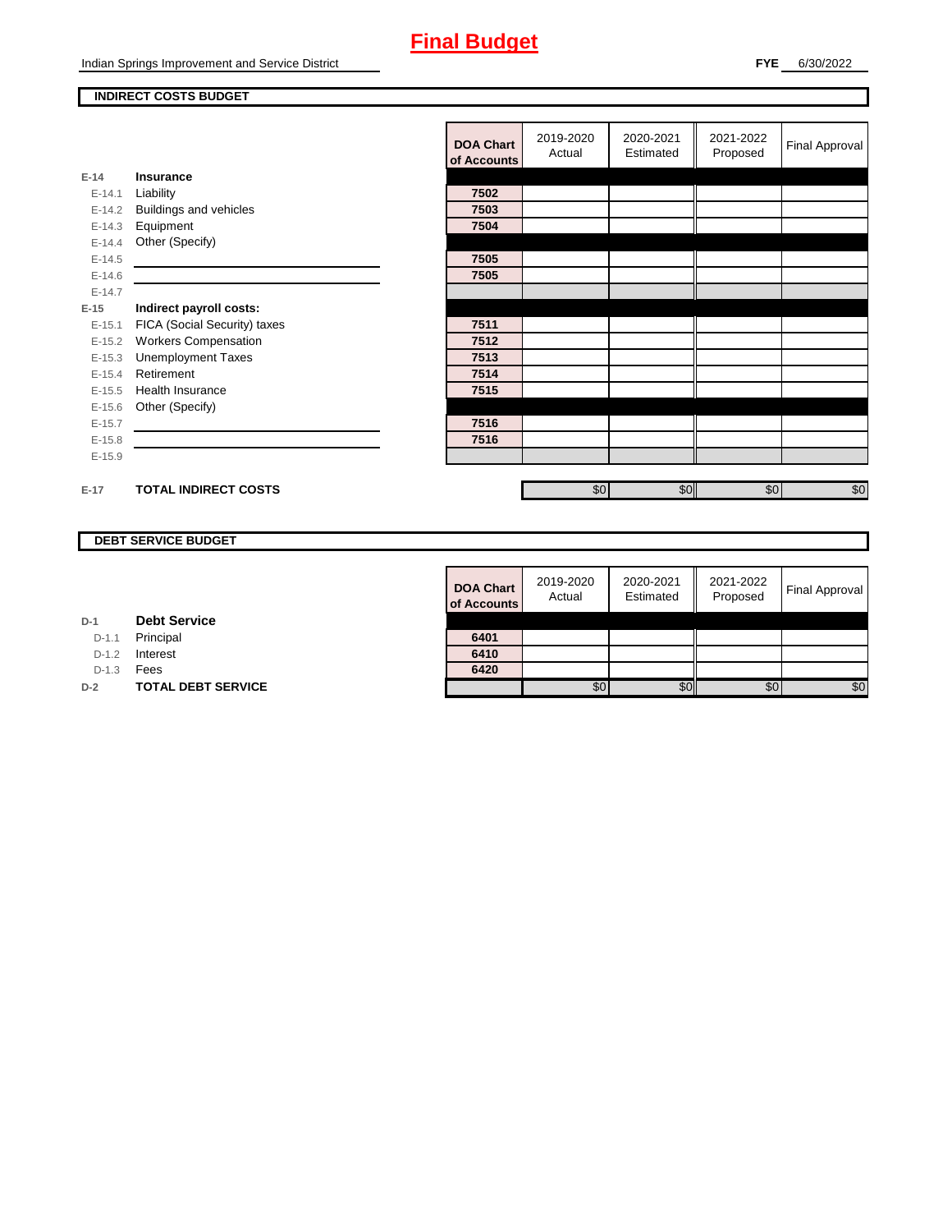#### **INDIRECT COSTS BUDGET**

|          |                               | <b>DOA Chart</b><br>of Accounts | 2019-2020<br>Actual | 2020-2021<br>Estimated | 2021-2022<br>Proposed | <b>Final Approval</b> |
|----------|-------------------------------|---------------------------------|---------------------|------------------------|-----------------------|-----------------------|
| $E-14$   | Insurance                     |                                 |                     |                        |                       |                       |
| $E-14.1$ | Liability                     | 7502                            |                     |                        |                       |                       |
| $E-14.2$ | <b>Buildings and vehicles</b> | 7503                            |                     |                        |                       |                       |
| $E-14.3$ | Equipment                     | 7504                            |                     |                        |                       |                       |
| $E-14.4$ | Other (Specify)               |                                 |                     |                        |                       |                       |
| $E-14.5$ |                               | 7505                            |                     |                        |                       |                       |
| $E-14.6$ |                               | 7505                            |                     |                        |                       |                       |
| $E-14.7$ |                               |                                 |                     |                        |                       |                       |
| $E-15$   | Indirect payroll costs:       |                                 |                     |                        |                       |                       |
| $E-15.1$ | FICA (Social Security) taxes  | 7511                            |                     |                        |                       |                       |
| $E-15.2$ | <b>Workers Compensation</b>   | 7512                            |                     |                        |                       |                       |
| $E-15.3$ | <b>Unemployment Taxes</b>     | 7513                            |                     |                        |                       |                       |
| $E-15.4$ | Retirement                    | 7514                            |                     |                        |                       |                       |
| $E-15.5$ | <b>Health Insurance</b>       | 7515                            |                     |                        |                       |                       |
| $E-15.6$ | Other (Specify)               |                                 |                     |                        |                       |                       |
| $E-15.7$ |                               | 7516                            |                     |                        |                       |                       |
| $E-15.8$ |                               | 7516                            |                     |                        |                       |                       |
| $E-15.9$ |                               |                                 |                     |                        |                       |                       |
|          |                               |                                 |                     |                        |                       |                       |
| $E-17$   | <b>TOTAL INDIRECT COSTS</b>   |                                 | \$0                 | \$0                    | \$0                   | \$0                   |

## **DEBT SERVICE BUDGET**

| <b>DOA Chart</b><br>of Accounts | 2019-2020<br>Actual | 2020-2021<br>Estimated | 2021-2022<br>Proposed | <b>Final Approval</b> |
|---------------------------------|---------------------|------------------------|-----------------------|-----------------------|
| 6401                            |                     |                        |                       |                       |
| 6410                            |                     |                        |                       |                       |
| 6420                            |                     |                        |                       |                       |
|                                 | SO.                 |                        | £ſ.                   | \$O                   |

| D-1 | <b>Debt Service</b> |  |  |
|-----|---------------------|--|--|
|-----|---------------------|--|--|

D-1.1 **Principal** 

D-1.2 **Interest** 

D-1.3 **Fees** 

**D-2 TOTAL DEBT SERVICE**